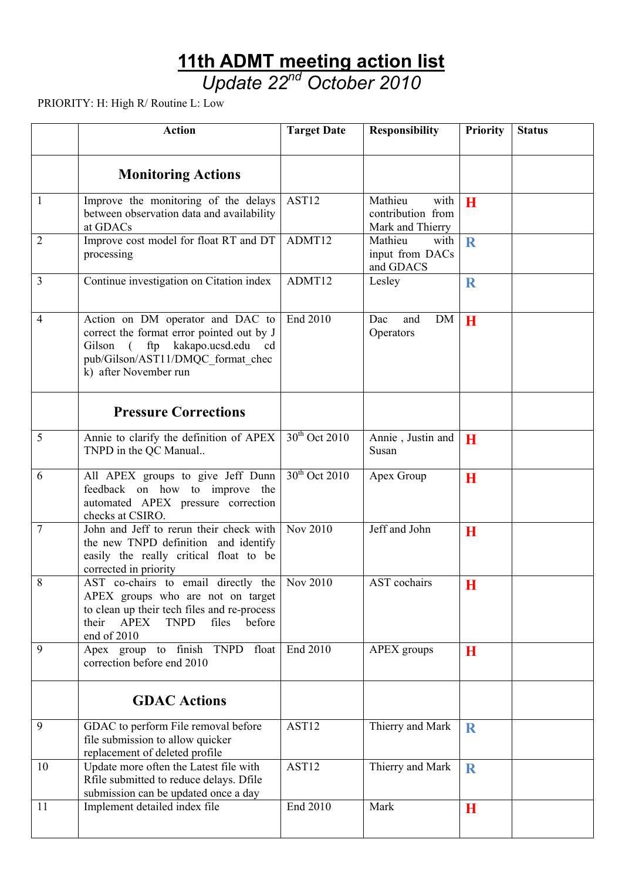## **11th ADMT meeting action list**

*Update 22nd October 2010* 

PRIORITY: H: High R/ Routine L: Low

|                | <b>Action</b>                                                                                                                                                                                      | <b>Target Date</b> | <b>Responsibility</b>                                    | <b>Priority</b> | <b>Status</b> |
|----------------|----------------------------------------------------------------------------------------------------------------------------------------------------------------------------------------------------|--------------------|----------------------------------------------------------|-----------------|---------------|
|                | <b>Monitoring Actions</b>                                                                                                                                                                          |                    |                                                          |                 |               |
| 1              | Improve the monitoring of the delays<br>between observation data and availability<br>at GDACs                                                                                                      | AST12              | Mathieu<br>with<br>contribution from<br>Mark and Thierry | $\mathbf{H}$    |               |
| $\overline{2}$ | Improve cost model for float RT and DT<br>processing                                                                                                                                               | ADMT12             | Mathieu<br>with<br>input from DACs<br>and GDACS          | R               |               |
| 3              | Continue investigation on Citation index                                                                                                                                                           | ADMT12             | Lesley                                                   | $\mathbf R$     |               |
| 4              | Action on DM operator and DAC to<br>correct the format error pointed out by J<br>Gilson (<br>ftp<br>kakapo.ucsd.edu<br><sub>cd</sub><br>pub/Gilson/AST11/DMQC format chec<br>k) after November run | End 2010           | <b>DM</b><br>Dac<br>and<br>Operators                     | H               |               |
|                | <b>Pressure Corrections</b>                                                                                                                                                                        |                    |                                                          |                 |               |
| 5              | Annie to clarify the definition of APEX<br>TNPD in the QC Manual                                                                                                                                   | $30th$ Oct 2010    | Annie, Justin and<br>Susan                               | H               |               |
| 6              | All APEX groups to give Jeff Dunn<br>feedback on how to improve the<br>automated APEX pressure correction<br>checks at CSIRO.                                                                      | $30th$ Oct 2010    | Apex Group                                               | $\bf{H}$        |               |
| 7              | John and Jeff to rerun their check with<br>the new TNPD definition and identify<br>easily the really critical float to be<br>corrected in priority                                                 | <b>Nov 2010</b>    | Jeff and John                                            | H               |               |
| 8              | AST co-chairs to email directly the<br>APEX groups who are not on target<br>to clean up their tech files and re-process<br>their<br><b>APEX</b><br><b>TNPD</b><br>files<br>before<br>end of 2010   | Nov 2010           | AST cochairs                                             | H               |               |
| 9              | Apex group to finish TNPD float<br>correction before end 2010                                                                                                                                      | End 2010           | APEX groups                                              | H               |               |
|                | <b>GDAC Actions</b>                                                                                                                                                                                |                    |                                                          |                 |               |
| 9              | GDAC to perform File removal before<br>file submission to allow quicker<br>replacement of deleted profile                                                                                          | AST12              | Thierry and Mark                                         | $\mathbf R$     |               |
| 10             | Update more often the Latest file with<br>Rfile submitted to reduce delays. Dfile<br>submission can be updated once a day                                                                          | AST12              | Thierry and Mark                                         | $\mathbf R$     |               |
| 11             | Implement detailed index file                                                                                                                                                                      | End 2010           | Mark                                                     | $\bf H$         |               |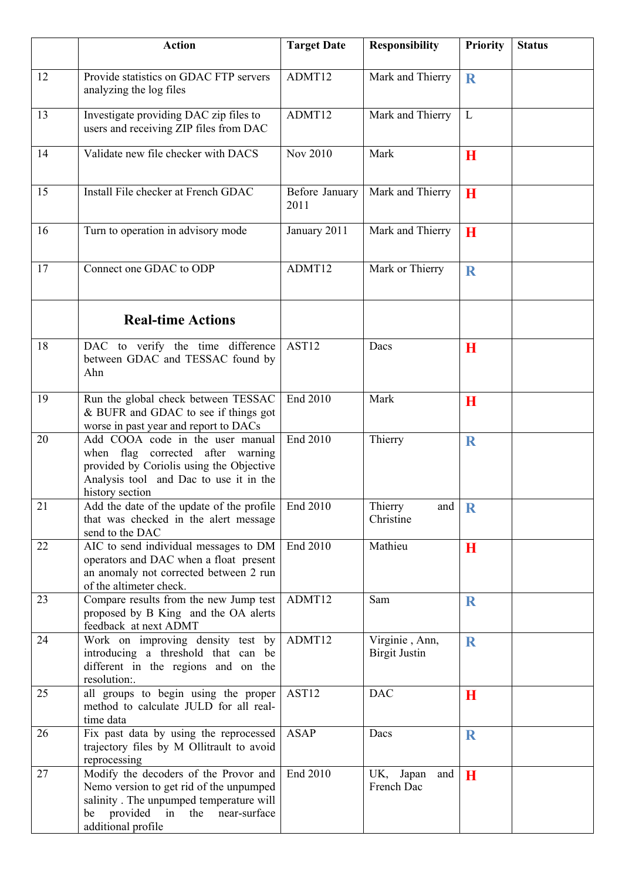|    | <b>Action</b>                                                                                                                                                                        | <b>Target Date</b>     | <b>Responsibility</b>                                | <b>Priority</b> | <b>Status</b> |
|----|--------------------------------------------------------------------------------------------------------------------------------------------------------------------------------------|------------------------|------------------------------------------------------|-----------------|---------------|
| 12 | Provide statistics on GDAC FTP servers<br>analyzing the log files                                                                                                                    | ADMT12                 | Mark and Thierry                                     | $\mathbf R$     |               |
| 13 | Investigate providing DAC zip files to<br>users and receiving ZIP files from DAC                                                                                                     | ADMT12                 | Mark and Thierry                                     | L               |               |
| 14 | Validate new file checker with DACS                                                                                                                                                  | Nov 2010               | Mark                                                 | H               |               |
| 15 | Install File checker at French GDAC                                                                                                                                                  | Before January<br>2011 | Mark and Thierry                                     | $\mathbf H$     |               |
| 16 | Turn to operation in advisory mode                                                                                                                                                   | January 2011           | Mark and Thierry                                     | $\mathbf H$     |               |
| 17 | Connect one GDAC to ODP                                                                                                                                                              | ADMT12                 | Mark or Thierry                                      | R               |               |
|    | <b>Real-time Actions</b>                                                                                                                                                             |                        |                                                      |                 |               |
| 18 | DAC to verify the time difference<br>between GDAC and TESSAC found by<br>Ahn                                                                                                         | AST12                  | Dacs                                                 | H               |               |
| 19 | Run the global check between TESSAC<br>& BUFR and GDAC to see if things got<br>worse in past year and report to DACs                                                                 | End 2010               | Mark                                                 | H               |               |
| 20 | Add COOA code in the user manual<br>when flag corrected after warning<br>provided by Coriolis using the Objective<br>Analysis tool and Dac to use it in the<br>history section       | End 2010               | Thierry                                              | R               |               |
| 21 | Add the date of the update of the profile   End 2010<br>that was checked in the alert message<br>send to the DAC                                                                     |                        | Thierry<br>and $\vert \mathbf{R} \vert$<br>Christine |                 |               |
| 22 | AIC to send individual messages to DM<br>operators and DAC when a float present<br>an anomaly not corrected between 2 run<br>of the altimeter check.                                 | End 2010               | Mathieu                                              | $\mathbf H$     |               |
| 23 | Compare results from the new Jump test<br>proposed by B King and the OA alerts<br>feedback at next ADMT                                                                              | ADMT12                 | Sam                                                  | $\mathbf R$     |               |
| 24 | Work on improving density test by<br>introducing a threshold that can be<br>different in the regions and on the<br>resolution:.                                                      | ADMT12                 | Virginie, Ann,<br><b>Birgit Justin</b>               | $\mathbf R$     |               |
| 25 | all groups to begin using the proper<br>method to calculate JULD for all real-<br>time data                                                                                          | AST12                  | <b>DAC</b>                                           | $\mathbf H$     |               |
| 26 | Fix past data by using the reprocessed<br>trajectory files by M Ollitrault to avoid<br>reprocessing                                                                                  | <b>ASAP</b>            | Dacs                                                 | $\mathbf R$     |               |
| 27 | Modify the decoders of the Provor and<br>Nemo version to get rid of the unpumped<br>salinity. The unpumped temperature will<br>be provided in the near-surface<br>additional profile | End 2010               | UK,<br>Japan<br>and<br>French Dac                    | H               |               |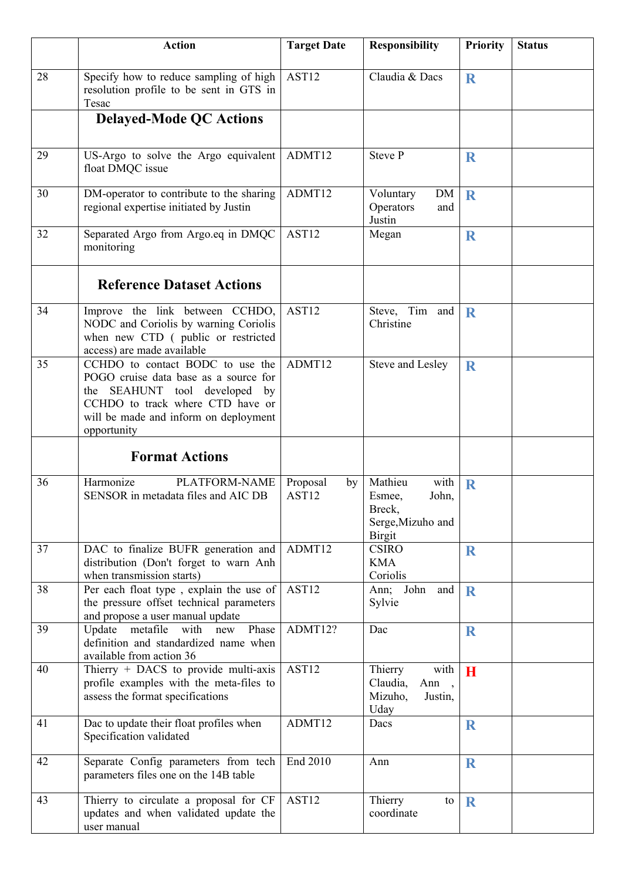|    | <b>Action</b>                                                                                                                                                                                          | <b>Target Date</b>                  | <b>Responsibility</b>                                                              | <b>Priority</b> | <b>Status</b> |
|----|--------------------------------------------------------------------------------------------------------------------------------------------------------------------------------------------------------|-------------------------------------|------------------------------------------------------------------------------------|-----------------|---------------|
| 28 | Specify how to reduce sampling of high<br>resolution profile to be sent in GTS in<br>Tesac                                                                                                             | AST12                               | Claudia & Dacs                                                                     | $\bf R$         |               |
|    | <b>Delayed-Mode QC Actions</b>                                                                                                                                                                         |                                     |                                                                                    |                 |               |
| 29 | US-Argo to solve the Argo equivalent<br>float DMQC issue                                                                                                                                               | ADMT12                              | <b>Steve P</b>                                                                     | $\mathbf R$     |               |
| 30 | DM-operator to contribute to the sharing<br>regional expertise initiated by Justin                                                                                                                     | ADMT12                              | Voluntary<br>DM<br>Operators<br>and<br>Justin                                      | $\mathbf R$     |               |
| 32 | Separated Argo from Argo.eq in DMQC<br>monitoring                                                                                                                                                      | AST12                               | Megan                                                                              | $\mathbf R$     |               |
|    | <b>Reference Dataset Actions</b>                                                                                                                                                                       |                                     |                                                                                    |                 |               |
| 34 | Improve the link between CCHDO,<br>NODC and Coriolis by warning Coriolis<br>when new CTD (public or restricted<br>access) are made available                                                           | AST12                               | Steve, Tim and<br>Christine                                                        | $\bf R$         |               |
| 35 | CCHDO to contact BODC to use the<br>POGO cruise data base as a source for<br>the SEAHUNT tool developed by<br>CCHDO to track where CTD have or<br>will be made and inform on deployment<br>opportunity | ADMT12                              | Steve and Lesley                                                                   | $\mathbf R$     |               |
|    | <b>Format Actions</b>                                                                                                                                                                                  |                                     |                                                                                    |                 |               |
| 36 | Harmonize<br>PLATFORM-NAME<br>SENSOR in metadata files and AIC DB                                                                                                                                      | Proposal<br>by<br>AST <sub>12</sub> | Mathieu<br>with<br>John,<br>Esmee,<br>Breck,<br>Serge, Mizuho and<br><b>Birgit</b> | $\mathbf R$     |               |
| 37 | DAC to finalize BUFR generation and<br>distribution (Don't forget to warn Anh<br>when transmission starts)                                                                                             | ADMT12                              | <b>CSIRO</b><br><b>KMA</b><br>Coriolis                                             | $\bf R$         |               |
| 38 | Per each float type, explain the use of<br>the pressure offset technical parameters<br>and propose a user manual update                                                                                | AST12                               | John<br>Ann;<br>and<br>Sylvie                                                      | $\mathbf R$     |               |
| 39 | Update metafile<br>with<br>Phase<br>new<br>definition and standardized name when<br>available from action 36                                                                                           | ADMT12?                             | Dac                                                                                | $\bf R$         |               |
| 40 | Thierry $+$ DACS to provide multi-axis<br>profile examples with the meta-files to<br>assess the format specifications                                                                                  | AST12                               | Thierry<br>with<br>Claudia,<br>Ann,<br>Mizuho,<br>Justin,<br>Uday                  | H               |               |
| 41 | Dac to update their float profiles when<br>Specification validated                                                                                                                                     | ADMT12                              | Dacs                                                                               | $\bf R$         |               |
| 42 | Separate Config parameters from tech<br>parameters files one on the 14B table                                                                                                                          | End 2010                            | Ann                                                                                | $\mathbf R$     |               |
| 43 | Thierry to circulate a proposal for CF<br>updates and when validated update the<br>user manual                                                                                                         | AS <sub>T12</sub>                   | Thierry<br>to<br>coordinate                                                        | $\mathbf R$     |               |